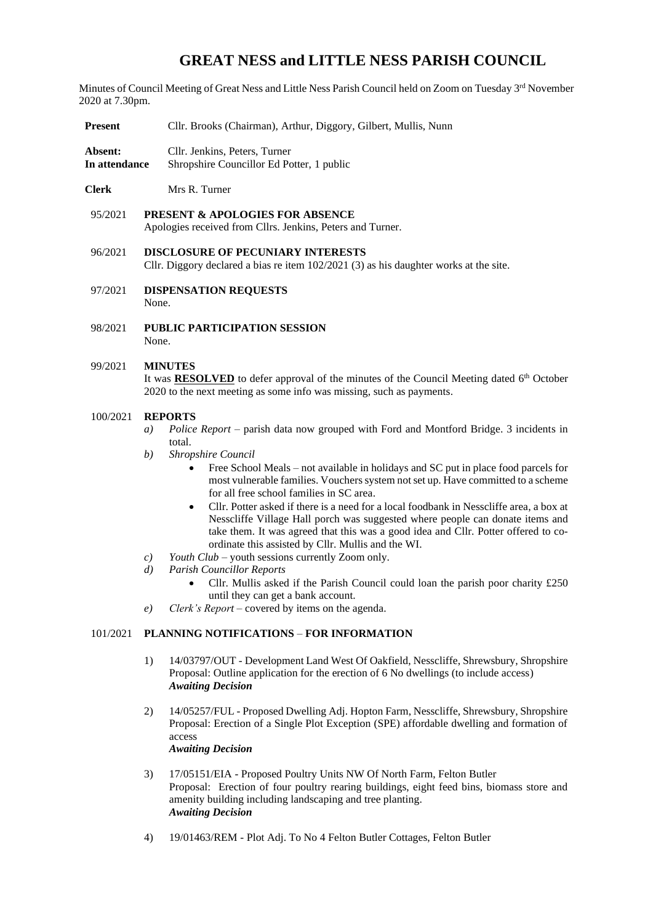# **GREAT NESS and LITTLE NESS PARISH COUNCIL**

Minutes of Council Meeting of Great Ness and Little Ness Parish Council held on Zoom on Tuesday 3rd November 2020 at 7.30pm.

- **Present** Cllr. Brooks (Chairman), Arthur, Diggory, Gilbert, Mullis, Nunn
- **Absent:** Cllr. Jenkins, Peters, Turner **In attendance** Shropshire Councillor Ed Potter, 1 public
- **Clerk** Mrs R. Turner
- 95/2021 **PRESENT & APOLOGIES FOR ABSENCE**  Apologies received from Cllrs. Jenkins, Peters and Turner.
- 96/2021 **DISCLOSURE OF PECUNIARY INTERESTS** Cllr. Diggory declared a bias re item 102/2021 (3) as his daughter works at the site.
- 97/2021 **DISPENSATION REQUESTS** None.
- 98/2021 **PUBLIC PARTICIPATION SESSION** None.

# 99/2021 **MINUTES**

It was **RESOLVED** to defer approval of the minutes of the Council Meeting dated 6<sup>th</sup> October 2020 to the next meeting as some info was missing, such as payments.

### 100/2021 **REPORTS**

- *a) Police Report*  parish data now grouped with Ford and Montford Bridge. 3 incidents in total.
- *b) Shropshire Council* 
	- Free School Meals not available in holidays and SC put in place food parcels for most vulnerable families. Vouchers system not set up. Have committed to a scheme for all free school families in SC area.
	- Cllr. Potter asked if there is a need for a local foodbank in Nesscliffe area, a box at Nesscliffe Village Hall porch was suggested where people can donate items and take them. It was agreed that this was a good idea and Cllr. Potter offered to coordinate this assisted by Cllr. Mullis and the WI.
- *c) Youth Club*  youth sessions currently Zoom only.
- *d) Parish Councillor Reports*
	- Cllr. Mullis asked if the Parish Council could loan the parish poor charity £250 until they can get a bank account.
- *e) Clerk's Report* covered by items on the agenda.

## 101/2021 **PLANNING NOTIFICATIONS** – **FOR INFORMATION**

- 1) 14/03797/OUT Development Land West Of Oakfield, Nesscliffe, Shrewsbury, Shropshire Proposal: Outline application for the erection of 6 No dwellings (to include access) *Awaiting Decision*
- 2) 14/05257/FUL Proposed Dwelling Adj. Hopton Farm, Nesscliffe, Shrewsbury, Shropshire Proposal: Erection of a Single Plot Exception (SPE) affordable dwelling and formation of access *Awaiting Decision*
- 3) 17/05151/EIA Proposed Poultry Units NW Of North Farm, Felton Butler Proposal: Erection of four poultry rearing buildings, eight feed bins, biomass store and amenity building including landscaping and tree planting. *Awaiting Decision*
- 4) 19/01463/REM Plot Adj. To No 4 Felton Butler Cottages, Felton Butler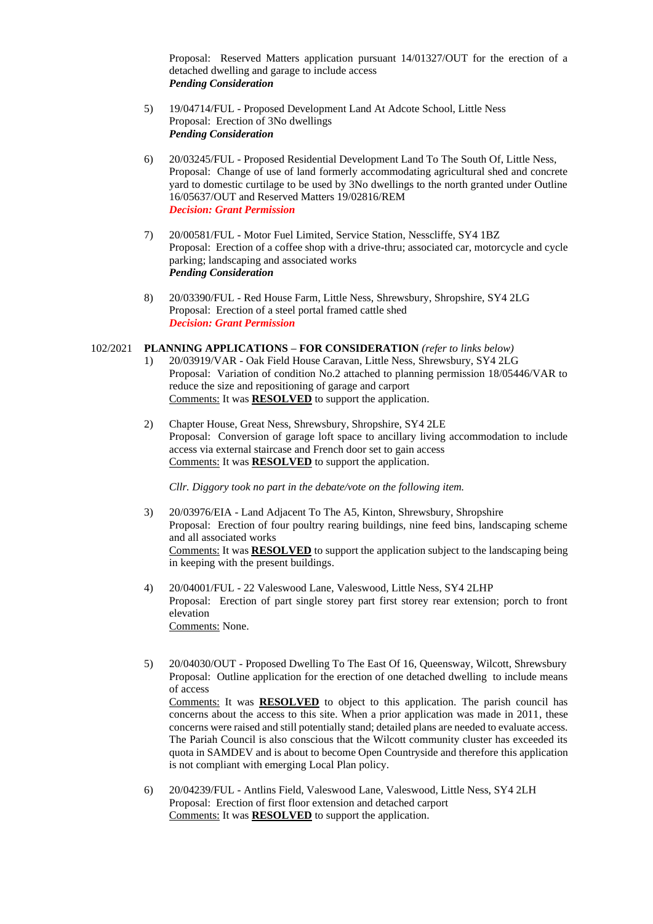Proposal: Reserved Matters application pursuant 14/01327/OUT for the erection of a detached dwelling and garage to include access *Pending Consideration*

- 5) 19/04714/FUL Proposed Development Land At Adcote School, Little Ness Proposal: Erection of 3No dwellings *Pending Consideration*
- 6) 20/03245/FUL Proposed Residential Development Land To The South Of, Little Ness, Proposal: Change of use of land formerly accommodating agricultural shed and concrete yard to domestic curtilage to be used by 3No dwellings to the north granted under Outline 16/05637/OUT and Reserved Matters 19/02816/REM *Decision: Grant Permission*
- 7) 20/00581/FUL Motor Fuel Limited, Service Station, Nesscliffe, SY4 1BZ Proposal: Erection of a coffee shop with a drive-thru; associated car, motorcycle and cycle parking; landscaping and associated works *Pending Consideration*
- 8) 20/03390/FUL Red House Farm, Little Ness, Shrewsbury, Shropshire, SY4 2LG Proposal: Erection of a steel portal framed cattle shed *Decision: Grant Permission*

#### 102/2021 **PLANNING APPLICATIONS – FOR CONSIDERATION** *(refer to links below)*

- 1) 20/03919/VAR Oak Field House Caravan, Little Ness, Shrewsbury, SY4 2LG Proposal: Variation of condition No.2 attached to planning permission 18/05446/VAR to reduce the size and repositioning of garage and carport Comments: It was **RESOLVED** to support the application.
- 2) Chapter House, Great Ness, Shrewsbury, Shropshire, SY4 2LE Proposal: Conversion of garage loft space to ancillary living accommodation to include access via external staircase and French door set to gain access Comments: It was **RESOLVED** to support the application.

*Cllr. Diggory took no part in the debate/vote on the following item.*

- 3) 20/03976/EIA Land Adjacent To The A5, Kinton, Shrewsbury, Shropshire Proposal: Erection of four poultry rearing buildings, nine feed bins, landscaping scheme and all associated works Comments: It was **RESOLVED** to support the application subject to the landscaping being in keeping with the present buildings.
- 4) 20/04001/FUL 22 Valeswood Lane, Valeswood, Little Ness, SY4 2LHP Proposal: Erection of part single storey part first storey rear extension; porch to front elevation Comments: None.
- 5) 20/04030/OUT Proposed Dwelling To The East Of 16, Queensway, Wilcott, Shrewsbury Proposal: Outline application for the erection of one detached dwelling to include means of access Comments: It was **RESOLVED** to object to this application. The parish council has concerns about the access to this site. When a prior application was made in 2011, these concerns were raised and still potentially stand; detailed plans are needed to evaluate access. The Pariah Council is also conscious that the Wilcott community cluster has exceeded its quota in SAMDEV and is about to become Open Countryside and therefore this application is not compliant with emerging Local Plan policy.
- 6) 20/04239/FUL Antlins Field, Valeswood Lane, Valeswood, Little Ness, SY4 2LH Proposal: Erection of first floor extension and detached carport Comments: It was **RESOLVED** to support the application.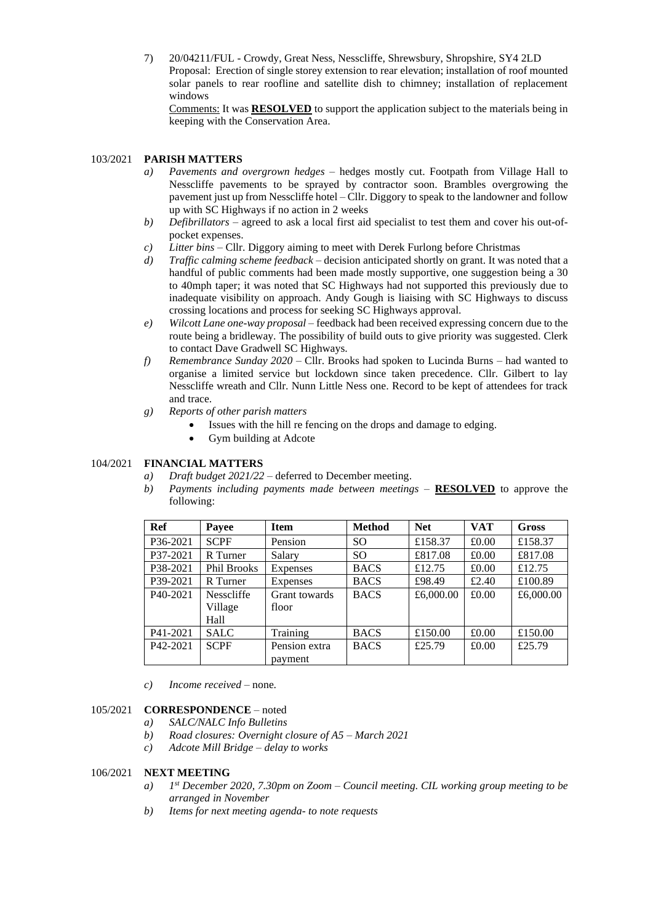7) 20/04211/FUL - Crowdy, Great Ness, Nesscliffe, Shrewsbury, Shropshire, SY4 2LD Proposal: Erection of single storey extension to rear elevation; installation of roof mounted solar panels to rear roofline and satellite dish to chimney; installation of replacement windows

Comments: It was **RESOLVED** to support the application subject to the materials being in keeping with the Conservation Area.

#### 103/2021 **PARISH MATTERS**

- *a) Pavements and overgrown hedges* hedges mostly cut. Footpath from Village Hall to Nesscliffe pavements to be sprayed by contractor soon. Brambles overgrowing the pavement just up from Nesscliffe hotel – Cllr. Diggory to speak to the landowner and follow up with SC Highways if no action in 2 weeks
- *b) Defibrillators* agreed to ask a local first aid specialist to test them and cover his out-ofpocket expenses.
- *c) Litter bins* Cllr. Diggory aiming to meet with Derek Furlong before Christmas
- *d) Traffic calming scheme feedback*  decision anticipated shortly on grant. It was noted that a handful of public comments had been made mostly supportive, one suggestion being a 30 to 40mph taper; it was noted that SC Highways had not supported this previously due to inadequate visibility on approach. Andy Gough is liaising with SC Highways to discuss crossing locations and process for seeking SC Highways approval.
- *e) Wilcott Lane one-way proposal* feedback had been received expressing concern due to the route being a bridleway. The possibility of build outs to give priority was suggested. Clerk to contact Dave Gradwell SC Highways.
- *f) Remembrance Sunday 2020* Cllr. Brooks had spoken to Lucinda Burns had wanted to organise a limited service but lockdown since taken precedence. Cllr. Gilbert to lay Nesscliffe wreath and Cllr. Nunn Little Ness one. Record to be kept of attendees for track and trace.
- *g) Reports of other parish matters* 
	- Issues with the hill refencing on the drops and damage to edging.
	- Gym building at Adcote

# 104/2021 **FINANCIAL MATTERS**

- *a) Draft budget 2021/22* deferred to December meeting.
- *b) Payments including payments made between meetings* **RESOLVED** to approve the following:

| Ref                   | Payee             | <b>Item</b>   | <b>Method</b> | <b>Net</b> | <b>VAT</b> | <b>Gross</b> |
|-----------------------|-------------------|---------------|---------------|------------|------------|--------------|
| P36-2021              | <b>SCPF</b>       | Pension       | SO            | £158.37    | £0.00      | £158.37      |
| P37-2021              | R Turner          | Salary        | SO.           | £817.08    | £0.00      | £817.08      |
| P38-2021              | Phil Brooks       | Expenses      | <b>BACS</b>   | £12.75     | £0.00      | £12.75       |
| P39-2021              | R Turner          | Expenses      | <b>BACS</b>   | £98.49     | £2.40      | £100.89      |
| P <sub>40</sub> -2021 | <b>Nesscliffe</b> | Grant towards | <b>BACS</b>   | £6,000.00  | £0.00      | £6,000.00    |
|                       | Village           | floor         |               |            |            |              |
|                       | Hall              |               |               |            |            |              |
| P41-2021              | <b>SALC</b>       | Training      | <b>BACS</b>   | £150.00    | £0.00      | £150.00      |
| P42-2021              | <b>SCPF</b>       | Pension extra | <b>BACS</b>   | £25.79     | £0.00      | £25.79       |
|                       |                   | payment       |               |            |            |              |

*c) Income received* – none.

#### 105/2021 **CORRESPONDENCE** – noted

- *a) SALC/NALC Info Bulletins*
- *b) Road closures: Overnight closure of A5 – March 2021*
- *c) Adcote Mill Bridge – delay to works*

#### 106/2021 **NEXT MEETING**

- *a) 1 st December 2020, 7.30pm on Zoom – Council meeting. CIL working group meeting to be arranged in November*
- *b) Items for next meeting agenda- to note requests*